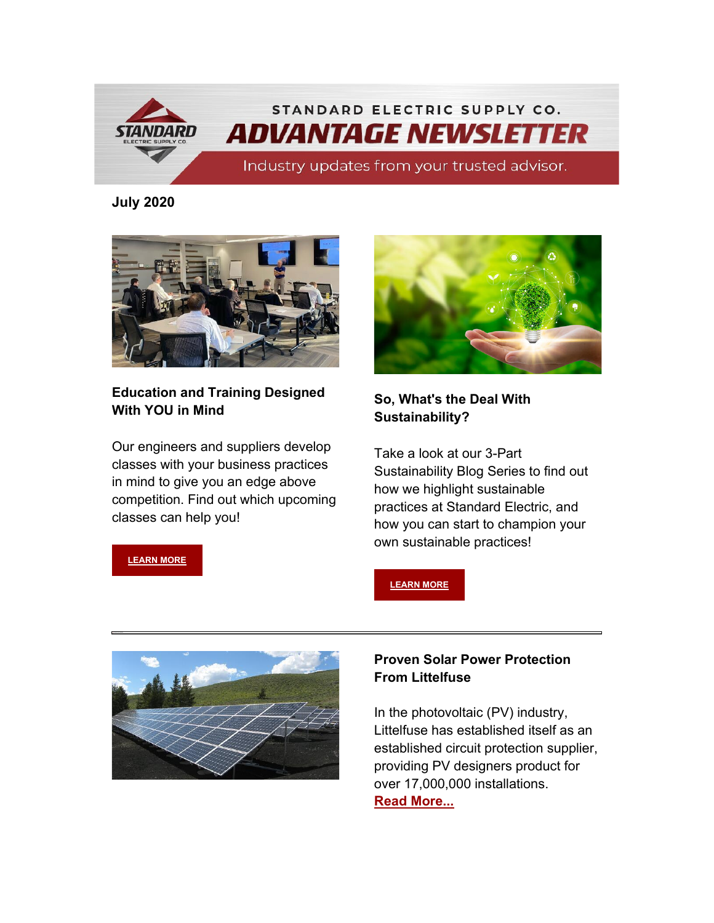

#### **July 2020**



**Education and Training Designed With YOU in Mind**

Our engineers and suppliers develop classes with your business practices in mind to give you an edge above competition. Find out which upcoming classes can help you!



### **So, What's the Deal With Sustainability?**

Take a look at our 3-Part Sustainability Blog Series to find out how we highlight sustainable practices at Standard Electric, and how you can start to champion your own sustainable practices!

#### **LEARN MORE**





#### **Proven Solar Power Protection From Littelfuse**

In the photovoltaic (PV) industry, Littelfuse has established itself as an established circuit protection supplier, providing PV designers product for over 17,000,000 installations. **[Read More...](https://info.standardelectricsupply.com/e2t/tc/VX4Xk_25D6NxW2pjCVz8qLgb7W8VsNl14gfgjSN8pR4B35nxG7V3Zsc37CgWqSW7xsCJX8pntX1W5w0NhV4cxq75W6ygKNW8CWKlKW7k4CWS32dgmbW3l4kvb5PGYvpW4bgpzs6kcq_1N3TTlFbVCJCWW5hYcg97dZtjcW8N4btv7NTwRbW2p3fBz5q9b0cN3QhX4T-xlr4W89VDHQ6RVW0dW3tzNh_1WbS-HW2Rj0Ts5KfdyWW896CDs1btfPkW6dxGts12TQYWW4pk7ZW5sYhqxW8x2vmn1_VgrFN5Y-ybBYMwVFM8jj35TT27PW3_D4mT6zLjzlW8Nlvyf2r0qYdN2tnsRTJC6TPW25Ngcd3RP-g2W6R1B8v8BMWrVW1zPBpv5MdkK-V1SR4p85G-rBW7KjFw744KjDWW4lM1354SR2PQW2pq15X1QHg-SV_Nkb_3wx984VCh1r36tb2SP3fC_1)**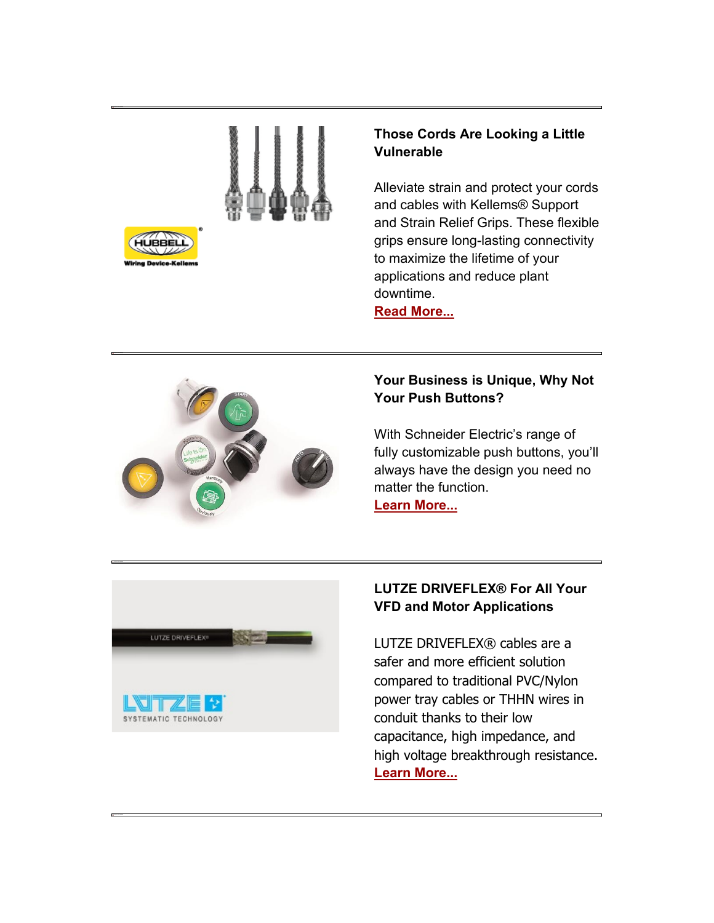

## **Those Cords Are Looking a Little Vulnerable**

Alleviate strain and protect your cords and cables with Kellems® Support and Strain Relief Grips. These flexible grips ensure long-lasting connectivity to maximize the lifetime of your applications and reduce plant downtime.

**[Read More...](https://info.standardelectricsupply.com/e2t/tc/VX4Xk_25D6NxW2pjCVz8qLgb7W8VsNl14gfgjSN8pR4B35nxG7V3Zsc37CgTzgW6WsTG97Wqxw0W78chhZ5Njvz5VsvCLV97sz3vVpFNm188YKSZW4MPk0C8PCy3tW1hBKX927wr42W1xXvgt4sMvFYW3lKsmN3DM4VBW342mck2sdDmGW7HZzMj5Ds_ldW1chBSV7TjrVXW4shfR_1RRTvZW91fPly6FncYjVrtwfY7xxsrTN4dqbcxynrXsW77m5Gb81n5MkN3FGzBf_kKwJW2qr-BT5rvnByW12t8jM1SdXSxW8ftxKD3-3rVcW8bj-6m7NGS-tN1_0Q5lgVYfHW8TzxV61TkrssW1TC4P71XpxLMW60VhVl5jvVmYW2C3K3M2j8jv9W9gBFnw4rpRxYW6Ty7zZ13Z0TSW3Hpm3H81P1WrW8bcBHs2dRltbW6PGGVB6xNJ49W6tL44M5t7Kf13h5M1)**



HÚBBÈL

# **Your Business is Unique, Why Not Your Push Buttons?**

With Schneider Electric's range of fully customizable push buttons, you'll always have the design you need no matter the function.

**[Learn More...](https://info.standardelectricsupply.com/e2t/tc/VX4Xk_25D6NxW2pjCVz8qLgb7W8VsNl14gfgjSN8pR4D73p_b1V1-WJV7CgZbLVDSvWz5gvSFtN7VcDTJKG63lW2dPHC15_cbkGW5mYQbT1WnggmN8HtYLcxWmLlW3RDYg96D78DGW5S6BBg3yN304VGJ4MW18Y83SW79YRR18yQ_G6VncBPk2kMPx-W5WJqX81tG_5xW3Y7rlC61yry2W850jB06nDPdnW16yvl81C8Hj4W3V4xDW6LGwwXW9h_RJk1nnpFlW98k5ch51PqwTW9bL7Kj3sJcsJW952TTz1h9M4PW1Q2mvX1RWygbVZn_bS7dYk1cW3Trtsk1PmThFW1P-27Z4tJfxdW69jMLr4JWgZqW47Wdhn879QblW4zPhmy4PL002W32Py0C8NN_tcW215F3p6cTQ9TW7hYtMq3TFJDWW8Sxr_j7W-pRh34g71)**



## **LUTZE DRIVEFLEX® For All Your VFD and Motor Applications**

LUTZE DRIVEFLEX® cables are a safer and more efficient solution compared to traditional PVC/Nylon power tray cables or THHN wires in conduit thanks to their low capacitance, high impedance, and high voltage breakthrough resistance. **[Learn More...](https://info.standardelectricsupply.com/e2t/tc/VX4Xk_25D6NxW2pjCVz8qLgb7W8VsNl14gfgjSN8pR4D73p_b1V1-WJV7CgSMXW24KCPJ75DlDtW3vShvP6hxM56W8GBDPQ154t3rW7lFBK11_WKZWW3jxPb935nt05W3tLYw62-Y_PxW41qZD98Dx0f7N6qnw5nF7C8WN4NrSPSjLprqW6yj-478GcNFxW78Vvfm84tcSbW4ykV_V4JLbq-W6WByBn6lhCtqW11H5GP3RWfkqVyHZ-q94sffCW6rdPWY5j2mW0W61Lgd-8NQmqKVgDcH_2swf6QW6Cw4L-3ybdn3W1xbCLF5QZtZ8W2dv4HQ1MTYP8Vz8wZL1PP0vNW1LF46m32XLZYN1FblqFP8hv3W1nBthz4QH_KkW14yhZs6L35MjW6KR9h826fK47W5ywQB71FbckPW6JHnSG7YN6RsN91RpwNXWXkj3gQx1)**